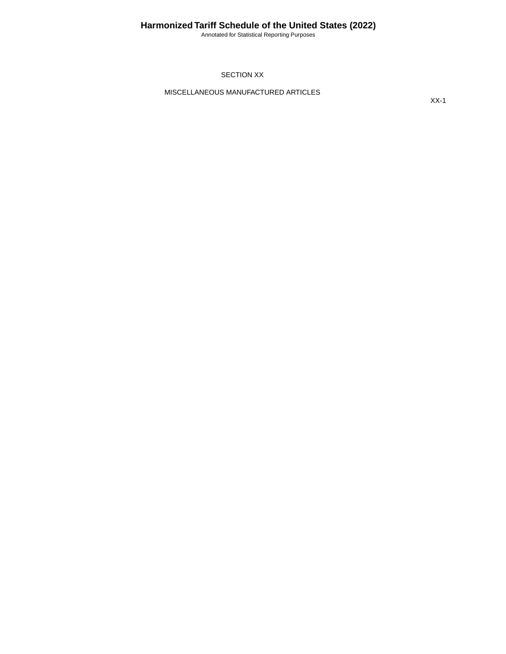Annotated for Statistical Reporting Purposes

#### SECTION XX

### MISCELLANEOUS MANUFACTURED ARTICLES

XX-1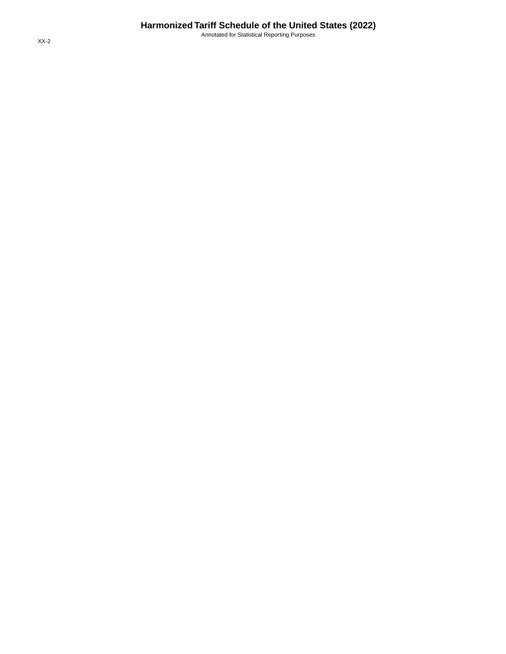Annotated for Statistical Reporting Purposes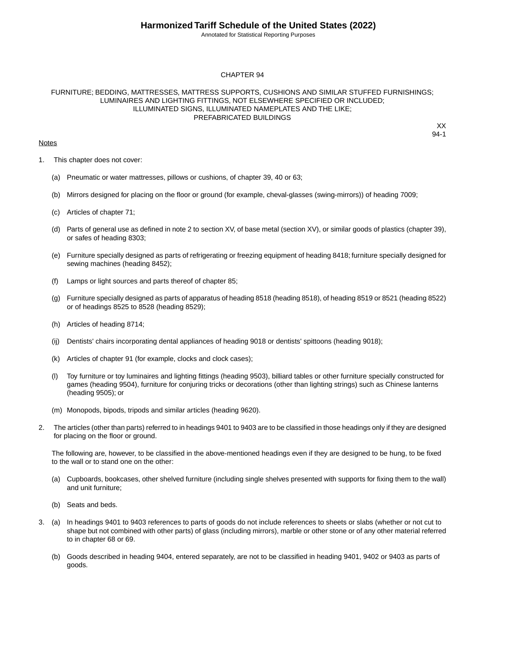Annotated for Statistical Reporting Purposes

#### CHAPTER 94

#### FURNITURE; BEDDING, MATTRESSES, MATTRESS SUPPORTS, CUSHIONS AND SIMILAR STUFFED FURNISHINGS; LUMINAIRES AND LIGHTING FITTINGS, NOT ELSEWHERE SPECIFIED OR INCLUDED; ILLUMINATED SIGNS, ILLUMINATED NAMEPLATES AND THE LIKE; PREFABRICATED BUILDINGS

#### **Notes**

XX 94-1

- 1. This chapter does not cover:
	- (a) Pneumatic or water mattresses, pillows or cushions, of chapter 39, 40 or 63;
	- (b) Mirrors designed for placing on the floor or ground (for example, cheval-glasses (swing-mirrors)) of heading 7009;
	- (c) Articles of chapter 71;
	- (d) Parts of general use as defined in note 2 to section XV, of base metal (section XV), or similar goods of plastics (chapter 39), or safes of heading 8303;
	- (e) Furniture specially designed as parts of refrigerating or freezing equipment of heading 8418; furniture specially designed for sewing machines (heading 8452);
	- (f) Lamps or light sources and parts thereof of chapter 85;
	- (g) Furniture specially designed as parts of apparatus of heading 8518 (heading 8518), of heading 8519 or 8521 (heading 8522) or of headings 8525 to 8528 (heading 8529);
	- (h) Articles of heading 8714;
	- (ij) Dentists' chairs incorporating dental appliances of heading 9018 or dentists' spittoons (heading 9018);
	- (k) Articles of chapter 91 (for example, clocks and clock cases);
	- (l) Toy furniture or toy luminaires and lighting fittings (heading 9503), billiard tables or other furniture specially constructed for games (heading 9504), furniture for conjuring tricks or decorations (other than lighting strings) such as Chinese lanterns (heading 9505); or
	- (m) Monopods, bipods, tripods and similar articles (heading 9620).
- 2. The articles (other than parts) referred to in headings 9401 to 9403 are to be classified in those headings only if they are designed for placing on the floor or ground.

The following are, however, to be classified in the above-mentioned headings even if they are designed to be hung, to be fixed to the wall or to stand one on the other:

- (a) Cupboards, bookcases, other shelved furniture (including single shelves presented with supports for fixing them to the wall) and unit furniture;
- (b) Seats and beds.
- 3. (a) In headings 9401 to 9403 references to parts of goods do not include references to sheets or slabs (whether or not cut to shape but not combined with other parts) of glass (including mirrors), marble or other stone or of any other material referred to in chapter 68 or 69.
	- (b) Goods described in heading 9404, entered separately, are not to be classified in heading 9401, 9402 or 9403 as parts of goods.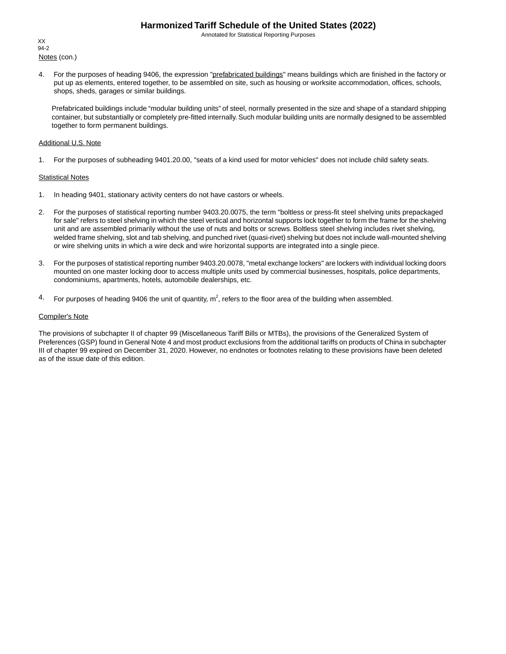Annotated for Statistical Reporting Purposes

Notes (con.) XX 94-2

4. For the purposes of heading 9406, the expression "prefabricated buildings" means buildings which are finished in the factory or put up as elements, entered together, to be assembled on site, such as housing or worksite accommodation, offices, schools, shops, sheds, garages or similar buildings.

Prefabricated buildings include "modular building units" of steel, normally presented in the size and shape of a standard shipping container, but substantially or completely pre-fitted internally. Such modular building units are normally designed to be assembled together to form permanent buildings.

#### Additional U.S. Note

1. For the purposes of subheading 9401.20.00, "seats of a kind used for motor vehicles" does not include child safety seats.

#### Statistical Notes

- 1. In heading 9401, stationary activity centers do not have castors or wheels.
- 2. For the purposes of statistical reporting number 9403.20.0075, the term "boltless or press-fit steel shelving units prepackaged for sale" refers to steel shelving in which the steel vertical and horizontal supports lock together to form the frame for the shelving unit and are assembled primarily without the use of nuts and bolts or screws. Boltless steel shelving includes rivet shelving, welded frame shelving, slot and tab shelving, and punched rivet (quasi-rivet) shelving but does not include wall-mounted shelving or wire shelving units in which a wire deck and wire horizontal supports are integrated into a single piece.
- 3. For the purposes of statistical reporting number 9403.20.0078, "metal exchange lockers" are lockers with individual locking doors mounted on one master locking door to access multiple units used by commercial businesses, hospitals, police departments, condominiums, apartments, hotels, automobile dealerships, etc.
- 4. For purposes of heading 9406 the unit of quantity,  $m^2$ , refers to the floor area of the building when assembled.

#### Compiler's Note

The provisions of subchapter II of chapter 99 (Miscellaneous Tariff Bills or MTBs), the provisions of the Generalized System of Preferences (GSP) found in General Note 4 and most product exclusions from the additional tariffs on products of China in subchapter III of chapter 99 expired on December 31, 2020. However, no endnotes or footnotes relating to these provisions have been deleted as of the issue date of this edition.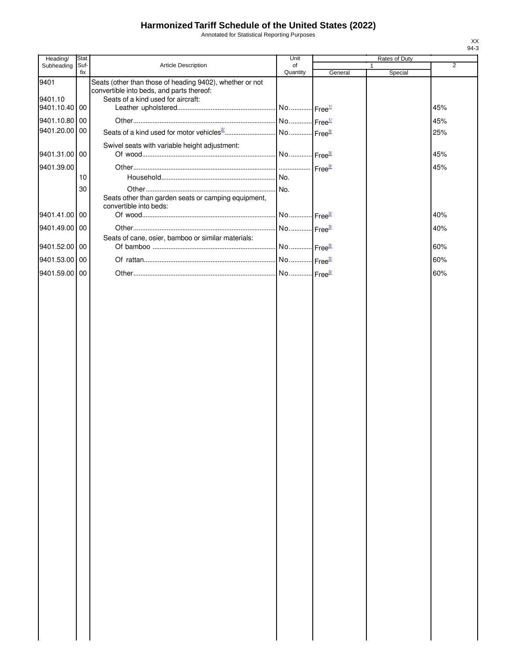Annotated for Statistical Reporting Purposes

| Heading/        | Stat.       |                                                                                                                                             | Unit                  |                                  | Rates of Duty |                |
|-----------------|-------------|---------------------------------------------------------------------------------------------------------------------------------------------|-----------------------|----------------------------------|---------------|----------------|
| Subheading      | Suf-<br>fix | Article Description                                                                                                                         | of<br>Quantity        | General                          | Special       | $\overline{2}$ |
| 9401<br>9401.10 |             | Seats (other than those of heading 9402), whether or not<br>convertible into beds, and parts thereof:<br>Seats of a kind used for aircraft: |                       |                                  |               |                |
| 9401.10.40 00   |             |                                                                                                                                             |                       |                                  |               | 45%            |
| 9401.10.80 00   |             |                                                                                                                                             | No Free <sup>1/</sup> |                                  |               | 45%            |
| 9401.20.00 00   |             |                                                                                                                                             |                       |                                  |               | 25%            |
|                 |             | Swivel seats with variable height adjustment:                                                                                               |                       |                                  |               |                |
| 9401.31.00 00   |             |                                                                                                                                             |                       |                                  |               | 45%            |
| 9401.39.00      |             |                                                                                                                                             |                       | Free <sup>3/</sup>               |               | 45%            |
|                 | 10          |                                                                                                                                             |                       |                                  |               |                |
|                 | 30          | Seats other than garden seats or camping equipment,<br>convertible into beds:                                                               |                       |                                  |               |                |
| 9401.41.00 00   |             |                                                                                                                                             | No Free <sup>3/</sup> |                                  |               | 40%            |
| 9401.49.00 00   |             |                                                                                                                                             | No                    | $\frac{3}{2}$ Free <sup>3/</sup> |               | 40%            |
| 9401.52.00 00   |             | Seats of cane, osier, bamboo or similar materials:                                                                                          | No Free <sup>3/</sup> |                                  |               | 60%            |
| 9401.53.00 00   |             |                                                                                                                                             | No Free <sup>3/</sup> |                                  |               | 60%            |
| 9401.59.00 00   |             |                                                                                                                                             | No Free <sup>3/</sup> |                                  |               | 60%            |
|                 |             |                                                                                                                                             |                       |                                  |               |                |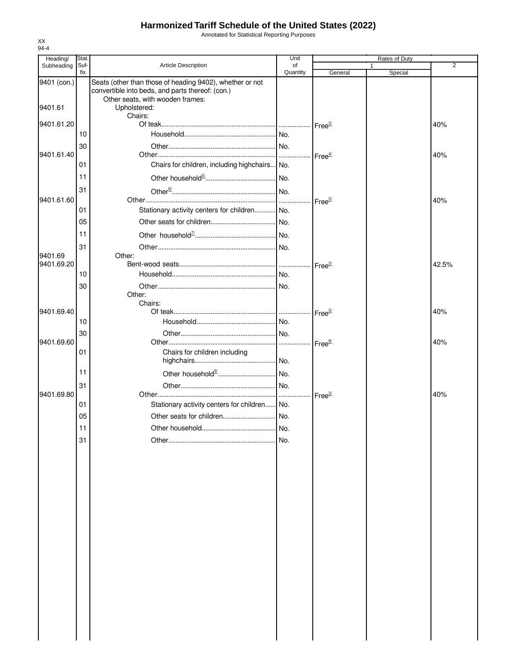Annotated for Statistical Reporting Purposes

| Heading/              | Stat.       |                                                                                                                                                  | Unit           |                    | Rates of Duty |                |
|-----------------------|-------------|--------------------------------------------------------------------------------------------------------------------------------------------------|----------------|--------------------|---------------|----------------|
| Subheading            | Suf-<br>fix | <b>Article Description</b>                                                                                                                       | of<br>Quantity | General            | 1<br>Special  | $\overline{2}$ |
| 9401 (con.)           |             | Seats (other than those of heading 9402), whether or not<br>convertible into beds, and parts thereof: (con.)<br>Other seats, with wooden frames: |                |                    |               |                |
| 9401.61               |             | Upholstered:<br>Chairs:                                                                                                                          |                |                    |               |                |
| 9401.61.20            |             |                                                                                                                                                  |                |                    |               | 40%            |
|                       | 10          |                                                                                                                                                  |                |                    |               |                |
|                       | 30          |                                                                                                                                                  |                |                    |               |                |
| 9401.61.40            |             |                                                                                                                                                  |                | Free <sup>4</sup>  |               | 40%            |
|                       | 01          | Chairs for children, including highchairs No.                                                                                                    |                |                    |               |                |
|                       | 11          |                                                                                                                                                  |                |                    |               |                |
|                       | 31          |                                                                                                                                                  |                |                    |               |                |
| 9401.61.60            |             |                                                                                                                                                  |                | Free <sup>3/</sup> |               | 40%            |
|                       | 01          | Stationary activity centers for children No.                                                                                                     |                |                    |               |                |
|                       | 05          |                                                                                                                                                  |                |                    |               |                |
|                       | 11          |                                                                                                                                                  |                |                    |               |                |
|                       | 31          |                                                                                                                                                  |                |                    |               |                |
| 9401.69<br>9401.69.20 |             | Other:                                                                                                                                           |                |                    |               |                |
|                       | 10          |                                                                                                                                                  |                | Free <sup>3/</sup> |               | 42.5%          |
|                       |             |                                                                                                                                                  |                |                    |               |                |
|                       | 30          | Other:                                                                                                                                           |                |                    |               |                |
|                       |             | Chairs:                                                                                                                                          |                |                    |               |                |
| 9401.69.40            |             |                                                                                                                                                  |                | Free <sup>3/</sup> |               | 40%            |
|                       | 10          |                                                                                                                                                  |                |                    |               |                |
|                       | 30          |                                                                                                                                                  |                |                    |               |                |
| 9401.69.60            | 01          | Chairs for children including                                                                                                                    |                | Free <sup>8/</sup> |               | 40%            |
|                       |             |                                                                                                                                                  |                |                    |               |                |
|                       | 11          |                                                                                                                                                  |                |                    |               |                |
|                       | 31          |                                                                                                                                                  | No.            |                    |               |                |
| 9401.69.80            |             |                                                                                                                                                  |                | Free <sup>3/</sup> |               | 40%            |
|                       | 01          | Stationary activity centers for children No.                                                                                                     |                |                    |               |                |
|                       | 05          |                                                                                                                                                  |                |                    |               |                |
|                       | 11          |                                                                                                                                                  | No.            |                    |               |                |
|                       | 31          |                                                                                                                                                  | No.            |                    |               |                |
|                       |             |                                                                                                                                                  |                |                    |               |                |
|                       |             |                                                                                                                                                  |                |                    |               |                |
|                       |             |                                                                                                                                                  |                |                    |               |                |
|                       |             |                                                                                                                                                  |                |                    |               |                |
|                       |             |                                                                                                                                                  |                |                    |               |                |
|                       |             |                                                                                                                                                  |                |                    |               |                |
|                       |             |                                                                                                                                                  |                |                    |               |                |
|                       |             |                                                                                                                                                  |                |                    |               |                |
|                       |             |                                                                                                                                                  |                |                    |               |                |
|                       |             |                                                                                                                                                  |                |                    |               |                |
|                       |             |                                                                                                                                                  |                |                    |               |                |
|                       |             |                                                                                                                                                  |                |                    |               |                |
|                       |             |                                                                                                                                                  |                |                    |               |                |
|                       |             |                                                                                                                                                  |                |                    |               |                |
|                       |             |                                                                                                                                                  |                |                    |               |                |
|                       |             |                                                                                                                                                  |                |                    |               |                |
|                       |             |                                                                                                                                                  |                |                    |               |                |
|                       |             |                                                                                                                                                  |                |                    |               |                |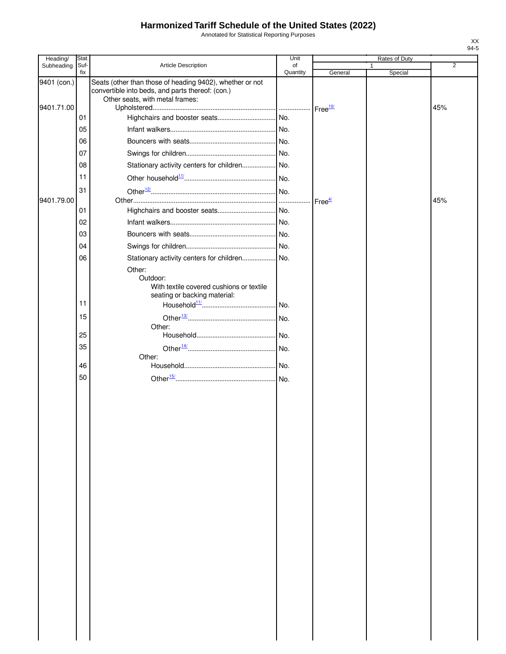Annotated for Statistical Reporting Purposes

| Heading/                  | Stat.                            |                                                                                                                                                 | Unit           |                    | Rates of Duty |                |
|---------------------------|----------------------------------|-------------------------------------------------------------------------------------------------------------------------------------------------|----------------|--------------------|---------------|----------------|
| Subheading                | Suf-<br>fix                      | <b>Article Description</b>                                                                                                                      | of<br>Quantity | General            | Special       | $\overline{2}$ |
| 9401 (con.)<br>9401.71.00 |                                  | Seats (other than those of heading 9402), whether or not<br>convertible into beds, and parts thereof: (con.)<br>Other seats, with metal frames: |                |                    |               | 45%            |
|                           | 01                               |                                                                                                                                                 |                |                    |               |                |
|                           | 05                               |                                                                                                                                                 |                |                    |               |                |
|                           | 06                               |                                                                                                                                                 |                |                    |               |                |
|                           | 07                               |                                                                                                                                                 |                |                    |               |                |
|                           | 08                               | Stationary activity centers for children No.                                                                                                    |                |                    |               |                |
|                           | 11                               |                                                                                                                                                 |                |                    |               |                |
|                           | 31                               |                                                                                                                                                 |                |                    |               |                |
| 9401.79.00                |                                  |                                                                                                                                                 |                | Free <sup>4/</sup> |               | 45%            |
|                           | 01                               |                                                                                                                                                 |                |                    |               |                |
|                           | 02                               |                                                                                                                                                 |                |                    |               |                |
|                           | 03                               |                                                                                                                                                 |                |                    |               |                |
|                           | 04                               |                                                                                                                                                 |                |                    |               |                |
|                           | 06                               | Stationary activity centers for children No.                                                                                                    |                |                    |               |                |
|                           | 11<br>15<br>25<br>35<br>46<br>50 | Other:<br>Outdoor:<br>With textile covered cushions or textile<br>seating or backing material:<br>Other:<br>Other:                              | No.            |                    |               |                |
|                           |                                  |                                                                                                                                                 |                |                    |               |                |
|                           |                                  |                                                                                                                                                 |                |                    |               |                |
|                           |                                  |                                                                                                                                                 |                |                    |               |                |
|                           |                                  |                                                                                                                                                 |                |                    |               |                |
|                           |                                  |                                                                                                                                                 |                |                    |               |                |
|                           |                                  |                                                                                                                                                 |                |                    |               |                |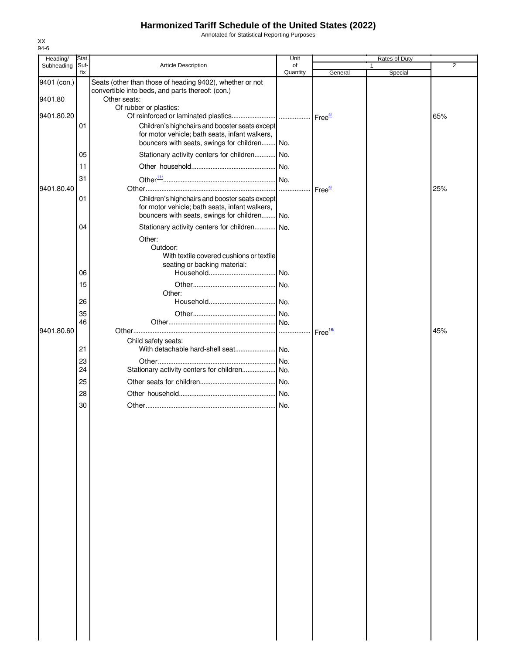Annotated for Statistical Reporting Purposes

| Heading/    | Stat.    |                                                                                                                                                  | Unit     |                    | Rates of Duty |                |
|-------------|----------|--------------------------------------------------------------------------------------------------------------------------------------------------|----------|--------------------|---------------|----------------|
| Subheading  | Suf-     | Article Description                                                                                                                              | of       |                    |               | $\overline{2}$ |
| 9401 (con.) | fix      | Seats (other than those of heading 9402), whether or not<br>convertible into beds, and parts thereof: (con.)                                     | Quantity | General            | Special       |                |
| 9401.80     |          | Other seats:<br>Of rubber or plastics:                                                                                                           |          |                    |               |                |
| 9401.80.20  |          |                                                                                                                                                  |          |                    |               | 65%            |
|             | 01       | Children's highchairs and booster seats except                                                                                                   |          |                    |               |                |
|             |          | for motor vehicle; bath seats, infant walkers,                                                                                                   |          |                    |               |                |
|             |          | bouncers with seats, swings for children No.                                                                                                     |          |                    |               |                |
|             | 05       | Stationary activity centers for children No.                                                                                                     |          |                    |               |                |
|             | 11       |                                                                                                                                                  |          |                    |               |                |
|             | 31       |                                                                                                                                                  |          |                    |               |                |
|             |          |                                                                                                                                                  |          |                    |               |                |
| 9401.80.40  | 01       | Children's highchairs and booster seats except<br>for motor vehicle; bath seats, infant walkers,<br>bouncers with seats, swings for children No. | .        | Free <sup>4/</sup> |               | 25%            |
|             | 04       |                                                                                                                                                  |          |                    |               |                |
|             |          | Stationary activity centers for children No.                                                                                                     |          |                    |               |                |
|             |          | Other:                                                                                                                                           |          |                    |               |                |
|             | 06       | Outdoor:<br>With textile covered cushions or textile<br>seating or backing material:                                                             |          |                    |               |                |
|             | 15       |                                                                                                                                                  | No.      |                    |               |                |
|             |          | Other:                                                                                                                                           |          |                    |               |                |
|             | 26       |                                                                                                                                                  |          |                    |               |                |
|             | 35       |                                                                                                                                                  |          |                    |               |                |
|             | 46       |                                                                                                                                                  | No.      |                    |               |                |
| 9401.80.60  |          |                                                                                                                                                  |          | Free <sup>16</sup> |               | 45%            |
|             |          | Child safety seats:                                                                                                                              |          |                    |               |                |
|             | 21       | With detachable hard-shell seat                                                                                                                  | No.      |                    |               |                |
|             | 23<br>24 |                                                                                                                                                  |          |                    |               |                |
|             | 25       |                                                                                                                                                  |          |                    |               |                |
|             |          |                                                                                                                                                  |          |                    |               |                |
|             | 28       |                                                                                                                                                  |          |                    |               |                |
|             | 30       |                                                                                                                                                  |          |                    |               |                |
|             |          |                                                                                                                                                  |          |                    |               |                |
|             |          |                                                                                                                                                  |          |                    |               |                |
|             |          |                                                                                                                                                  |          |                    |               |                |
|             |          |                                                                                                                                                  |          |                    |               |                |
|             |          |                                                                                                                                                  |          |                    |               |                |
|             |          |                                                                                                                                                  |          |                    |               |                |
|             |          |                                                                                                                                                  |          |                    |               |                |
|             |          |                                                                                                                                                  |          |                    |               |                |
|             |          |                                                                                                                                                  |          |                    |               |                |
|             |          |                                                                                                                                                  |          |                    |               |                |
|             |          |                                                                                                                                                  |          |                    |               |                |
|             |          |                                                                                                                                                  |          |                    |               |                |
|             |          |                                                                                                                                                  |          |                    |               |                |
|             |          |                                                                                                                                                  |          |                    |               |                |
|             |          |                                                                                                                                                  |          |                    |               |                |
|             |          |                                                                                                                                                  |          |                    |               |                |
|             |          |                                                                                                                                                  |          |                    |               |                |
|             |          |                                                                                                                                                  |          |                    |               |                |
|             |          |                                                                                                                                                  |          |                    |               |                |
|             |          |                                                                                                                                                  |          |                    |               |                |
|             |          |                                                                                                                                                  |          |                    |               |                |
|             |          |                                                                                                                                                  |          |                    |               |                |
|             |          |                                                                                                                                                  |          |                    |               |                |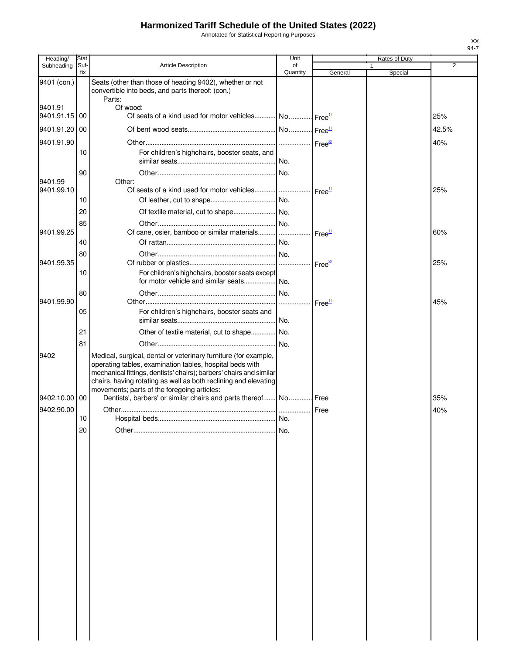Annotated for Statistical Reporting Purposes

| Heading/              | Stat.       |                                                                                                                                                                                                                                                                                                                                                                                         | Unit           |                    | Rates of Duty |       |
|-----------------------|-------------|-----------------------------------------------------------------------------------------------------------------------------------------------------------------------------------------------------------------------------------------------------------------------------------------------------------------------------------------------------------------------------------------|----------------|--------------------|---------------|-------|
| Subheading            | Suf-<br>fix | Article Description                                                                                                                                                                                                                                                                                                                                                                     | of<br>Quantity | General            | 1<br>Special  | 2     |
| 9401 (con.)           |             | Seats (other than those of heading 9402), whether or not<br>convertible into beds, and parts thereof: (con.)<br>Parts:                                                                                                                                                                                                                                                                  |                |                    |               |       |
| 9401.91               |             | Of wood:                                                                                                                                                                                                                                                                                                                                                                                |                |                    |               |       |
| 9401.91.15            | 00          | Of seats of a kind used for motor vehicles No Free <sup>1/</sup>                                                                                                                                                                                                                                                                                                                        |                |                    |               | 25%   |
| 9401.91.20            | 00          |                                                                                                                                                                                                                                                                                                                                                                                         |                |                    |               | 42.5% |
| 9401.91.90            |             |                                                                                                                                                                                                                                                                                                                                                                                         |                |                    |               | 40%   |
|                       | 10          | For children's highchairs, booster seats, and                                                                                                                                                                                                                                                                                                                                           |                |                    |               |       |
|                       |             |                                                                                                                                                                                                                                                                                                                                                                                         |                |                    |               |       |
| 9401.99               | 90          | Other:                                                                                                                                                                                                                                                                                                                                                                                  |                |                    |               |       |
| 9401.99.10            |             |                                                                                                                                                                                                                                                                                                                                                                                         |                | Free <sup>1/</sup> |               | 25%   |
|                       | 10          |                                                                                                                                                                                                                                                                                                                                                                                         |                |                    |               |       |
|                       | 20          |                                                                                                                                                                                                                                                                                                                                                                                         |                |                    |               |       |
| 9401.99.25            | 85          | Of cane, osier, bamboo or similar materials    Free <sup>1/</sup>                                                                                                                                                                                                                                                                                                                       |                |                    |               | 60%   |
|                       | 40          |                                                                                                                                                                                                                                                                                                                                                                                         |                |                    |               |       |
|                       | 80          |                                                                                                                                                                                                                                                                                                                                                                                         |                |                    |               |       |
| 9401.99.35            |             |                                                                                                                                                                                                                                                                                                                                                                                         |                |                    |               | 25%   |
|                       | 10          | For children's highchairs, booster seats except                                                                                                                                                                                                                                                                                                                                         |                |                    |               |       |
|                       | 80          |                                                                                                                                                                                                                                                                                                                                                                                         |                |                    |               |       |
| 9401.99.90            |             |                                                                                                                                                                                                                                                                                                                                                                                         |                |                    |               | 45%   |
|                       | 05          | For children's highchairs, booster seats and                                                                                                                                                                                                                                                                                                                                            |                |                    |               |       |
|                       | 21          | Other of textile material, cut to shape No.                                                                                                                                                                                                                                                                                                                                             |                |                    |               |       |
|                       | 81          |                                                                                                                                                                                                                                                                                                                                                                                         |                |                    |               |       |
| 9402<br>9402.10.00 00 |             | Medical, surgical, dental or veterinary furniture (for example,<br>operating tables, examination tables, hospital beds with<br>mechanical fittings, dentists' chairs); barbers' chairs and similar<br>chairs, having rotating as well as both reclining and elevating<br>movements; parts of the foregoing articles:<br>Dentists', barbers' or similar chairs and parts thereof No Free |                |                    |               | 35%   |
| 9402.90.00            |             |                                                                                                                                                                                                                                                                                                                                                                                         |                | Free               |               | 40%   |
|                       | 10          |                                                                                                                                                                                                                                                                                                                                                                                         |                |                    |               |       |
|                       | 20          |                                                                                                                                                                                                                                                                                                                                                                                         | No.            |                    |               |       |
|                       |             |                                                                                                                                                                                                                                                                                                                                                                                         |                |                    |               |       |
|                       |             |                                                                                                                                                                                                                                                                                                                                                                                         |                |                    |               |       |
|                       |             |                                                                                                                                                                                                                                                                                                                                                                                         |                |                    |               |       |
|                       |             |                                                                                                                                                                                                                                                                                                                                                                                         |                |                    |               |       |
|                       |             |                                                                                                                                                                                                                                                                                                                                                                                         |                |                    |               |       |
|                       |             |                                                                                                                                                                                                                                                                                                                                                                                         |                |                    |               |       |
|                       |             |                                                                                                                                                                                                                                                                                                                                                                                         |                |                    |               |       |
|                       |             |                                                                                                                                                                                                                                                                                                                                                                                         |                |                    |               |       |
|                       |             |                                                                                                                                                                                                                                                                                                                                                                                         |                |                    |               |       |
|                       |             |                                                                                                                                                                                                                                                                                                                                                                                         |                |                    |               |       |
|                       |             |                                                                                                                                                                                                                                                                                                                                                                                         |                |                    |               |       |
|                       |             |                                                                                                                                                                                                                                                                                                                                                                                         |                |                    |               |       |
|                       |             |                                                                                                                                                                                                                                                                                                                                                                                         |                |                    |               |       |
|                       |             |                                                                                                                                                                                                                                                                                                                                                                                         |                |                    |               |       |
|                       |             |                                                                                                                                                                                                                                                                                                                                                                                         |                |                    |               |       |
|                       |             |                                                                                                                                                                                                                                                                                                                                                                                         |                |                    |               |       |
|                       |             |                                                                                                                                                                                                                                                                                                                                                                                         |                |                    |               |       |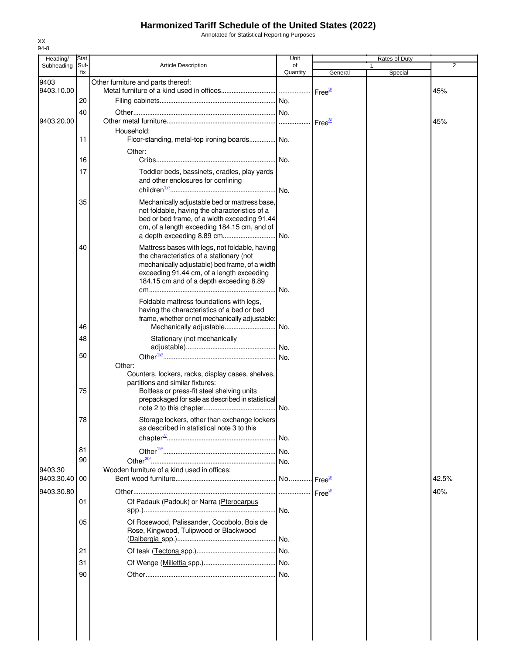Annotated for Statistical Reporting Purposes

| Heading/   | Stat.       |                                                                                             | Unit           |                    | Rates of Duty |                |
|------------|-------------|---------------------------------------------------------------------------------------------|----------------|--------------------|---------------|----------------|
| Subheading | Suf-<br>fix | <b>Article Description</b>                                                                  | of<br>Quantity | General            | 1<br>Special  | $\overline{2}$ |
| 9403       |             | Other furniture and parts thereof:                                                          |                |                    |               |                |
| 9403.10.00 |             |                                                                                             |                | Free <sup>3/</sup> |               | 45%            |
|            | 20          |                                                                                             |                |                    |               |                |
|            | 40          |                                                                                             |                |                    |               |                |
| 9403.20.00 |             |                                                                                             |                |                    |               | 45%            |
|            |             | Household:                                                                                  |                |                    |               |                |
|            | 11          | Floor-standing, metal-top ironing boards No.                                                |                |                    |               |                |
|            | 16          | Other:                                                                                      | .lNo.          |                    |               |                |
|            | 17          | Toddler beds, bassinets, cradles, play yards                                                |                |                    |               |                |
|            |             | and other enclosures for confining                                                          |                |                    |               |                |
|            |             |                                                                                             | No.            |                    |               |                |
|            | 35          | Mechanically adjustable bed or mattress base,                                               |                |                    |               |                |
|            |             | not foldable, having the characteristics of a                                               |                |                    |               |                |
|            |             | bed or bed frame, of a width exceeding 91.44<br>cm, of a length exceeding 184.15 cm, and of |                |                    |               |                |
|            |             |                                                                                             |                |                    |               |                |
|            | 40          | Mattress bases with legs, not foldable, having                                              |                |                    |               |                |
|            |             | the characteristics of a stationary (not                                                    |                |                    |               |                |
|            |             | mechanically adjustable) bed frame, of a width                                              |                |                    |               |                |
|            |             | exceeding 91.44 cm, of a length exceeding<br>184.15 cm and of a depth exceeding 8.89        |                |                    |               |                |
|            |             |                                                                                             | No.            |                    |               |                |
|            |             | Foldable mattress foundations with legs,                                                    |                |                    |               |                |
|            |             | having the characteristics of a bed or bed                                                  |                |                    |               |                |
|            |             | frame, whether or not mechanically adjustable:                                              |                |                    |               |                |
|            | 46          | Mechanically adjustable                                                                     | No.            |                    |               |                |
|            | 48          | Stationary (not mechanically                                                                |                |                    |               |                |
|            | 50          |                                                                                             | .No.           |                    |               |                |
|            |             | Other:                                                                                      |                |                    |               |                |
|            |             | Counters, lockers, racks, display cases, shelves,<br>partitions and similar fixtures:       |                |                    |               |                |
|            | 75          | Boltless or press-fit steel shelving units                                                  |                |                    |               |                |
|            |             | prepackaged for sale as described in statistical                                            |                |                    |               |                |
|            |             |                                                                                             |                |                    |               |                |
|            | 78          | Storage lockers, other than exchange lockers<br>as described in statistical note 3 to this  |                |                    |               |                |
|            |             |                                                                                             | No.            |                    |               |                |
|            | 81          |                                                                                             | No.            |                    |               |                |
|            | 90          |                                                                                             |                |                    |               |                |
| 9403.30    |             | Wooden furniture of a kind used in offices:                                                 |                |                    |               |                |
| 9403.30.40 | 00          |                                                                                             |                |                    |               | 42.5%          |
| 9403.30.80 |             |                                                                                             |                |                    |               | 40%            |
|            | 01          | Of Padauk (Padouk) or Narra (Pterocarpus                                                    |                |                    |               |                |
|            |             |                                                                                             | No.            |                    |               |                |
|            | 05          | Of Rosewood, Palissander, Cocobolo, Bois de<br>Rose, Kingwood, Tulipwood or Blackwood       |                |                    |               |                |
|            |             |                                                                                             | .I No.         |                    |               |                |
|            | 21          |                                                                                             |                |                    |               |                |
|            | 31          |                                                                                             |                |                    |               |                |
|            | 90          |                                                                                             | No.            |                    |               |                |
|            |             |                                                                                             |                |                    |               |                |
|            |             |                                                                                             |                |                    |               |                |
|            |             |                                                                                             |                |                    |               |                |
|            |             |                                                                                             |                |                    |               |                |
|            |             |                                                                                             |                |                    |               |                |
|            |             |                                                                                             |                |                    |               |                |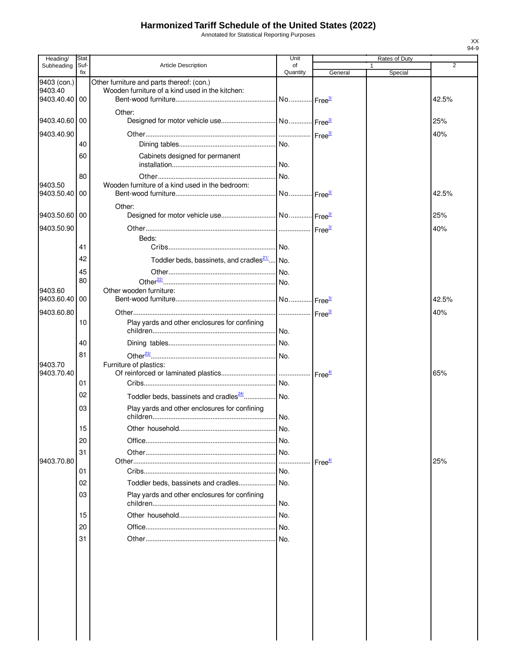Annotated for Statistical Reporting Purposes

| Heading/                                | Stat.       |                                                                                              | Unit           |                    | Rates of Duty |                |
|-----------------------------------------|-------------|----------------------------------------------------------------------------------------------|----------------|--------------------|---------------|----------------|
| Subheading                              | Suf-<br>fix | Article Description                                                                          | of<br>Quantity | General            | 1<br>Special  | $\overline{2}$ |
| 9403 (con.)<br>9403.40<br>9403.40.40 00 |             | Other furniture and parts thereof: (con.)<br>Wooden furniture of a kind used in the kitchen: |                |                    |               | 42.5%          |
| 9403.40.60 00                           |             | Other:                                                                                       |                |                    |               | 25%            |
| 9403.40.90                              |             |                                                                                              |                |                    |               | 40%            |
|                                         | 40          |                                                                                              |                |                    |               |                |
|                                         | 60          | Cabinets designed for permanent                                                              |                |                    |               |                |
|                                         | 80          |                                                                                              |                |                    |               |                |
| 9403.50                                 |             | Wooden furniture of a kind used in the bedroom:                                              |                |                    |               |                |
| 9403.50.40 00                           |             |                                                                                              |                |                    |               | 42.5%          |
|                                         |             | Other:                                                                                       |                |                    |               |                |
| 9403.50.60 00                           |             |                                                                                              |                |                    |               | 25%            |
| 9403.50.90                              |             |                                                                                              |                |                    |               | 40%            |
|                                         | 41          | Beds:                                                                                        |                |                    |               |                |
|                                         |             |                                                                                              |                |                    |               |                |
|                                         | 42          | Toddler beds, bassinets, and cradles <sup>21/</sup> No.                                      |                |                    |               |                |
|                                         | 45          |                                                                                              |                |                    |               |                |
|                                         | 80          |                                                                                              |                |                    |               |                |
| 9403.60<br>9403.60.40 00                |             | Other wooden furniture:                                                                      |                |                    |               | 42.5%          |
|                                         |             |                                                                                              |                |                    |               |                |
| 9403.60.80                              |             |                                                                                              |                |                    |               | 40%            |
|                                         | 10          | Play yards and other enclosures for confining                                                |                |                    |               |                |
|                                         | 40          |                                                                                              |                |                    |               |                |
|                                         |             |                                                                                              |                |                    |               |                |
| 9403.70<br>9403.70.40                   | 81          | Furniture of plastics:                                                                       |                |                    |               | 65%            |
|                                         | 01          |                                                                                              |                |                    |               |                |
|                                         | 02          |                                                                                              |                |                    |               |                |
|                                         | 03          | Play yards and other enclosures for confining                                                |                |                    |               |                |
|                                         |             |                                                                                              |                |                    |               |                |
|                                         | 15          |                                                                                              | No.            |                    |               |                |
|                                         | 20          |                                                                                              | No.            |                    |               |                |
|                                         | 31          |                                                                                              | .I No.         |                    |               |                |
| 9403.70.80                              | 01          |                                                                                              |                | Free <sup>4/</sup> |               | 25%            |
|                                         |             |                                                                                              |                |                    |               |                |
|                                         | 02          | Toddler beds, bassinets and cradles                                                          | .I No.         |                    |               |                |
|                                         | 03          | Play yards and other enclosures for confining                                                | INo.           |                    |               |                |
|                                         | 15          |                                                                                              | INo.           |                    |               |                |
|                                         |             |                                                                                              |                |                    |               |                |
|                                         | 20          |                                                                                              | .I No.         |                    |               |                |
|                                         | 31          |                                                                                              | No.            |                    |               |                |
|                                         |             |                                                                                              |                |                    |               |                |
|                                         |             |                                                                                              |                |                    |               |                |
|                                         |             |                                                                                              |                |                    |               |                |
|                                         |             |                                                                                              |                |                    |               |                |
|                                         |             |                                                                                              |                |                    |               |                |
|                                         |             |                                                                                              |                |                    |               |                |
|                                         |             |                                                                                              |                |                    |               |                |
|                                         |             |                                                                                              |                |                    |               |                |
|                                         |             |                                                                                              |                |                    |               |                |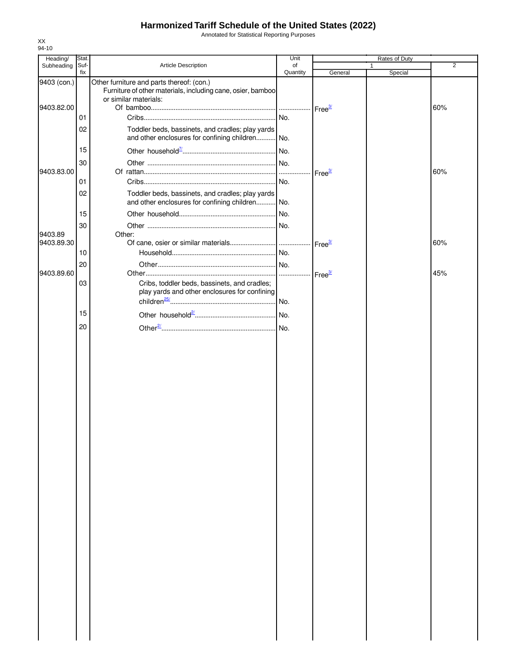Annotated for Statistical Reporting Purposes

| Suf-<br>fix<br>01 | Article Description<br>Other furniture and parts thereof: (con.)<br>Furniture of other materials, including cane, osier, bamboo<br>or similar materials: | of<br>Quantity | General                                         | 1<br>Special                             | $\overline{2}$ |
|-------------------|----------------------------------------------------------------------------------------------------------------------------------------------------------|----------------|-------------------------------------------------|------------------------------------------|----------------|
|                   |                                                                                                                                                          |                |                                                 |                                          |                |
|                   |                                                                                                                                                          |                |                                                 |                                          |                |
|                   |                                                                                                                                                          |                | Free <sup>3/</sup>                              |                                          | 60%            |
|                   |                                                                                                                                                          |                |                                                 |                                          |                |
| 02                | Toddler beds, bassinets, and cradles; play yards<br>and other enclosures for confining children No.                                                      |                |                                                 |                                          |                |
| 15                |                                                                                                                                                          |                |                                                 |                                          |                |
| 30                |                                                                                                                                                          |                |                                                 |                                          |                |
|                   |                                                                                                                                                          |                | Free <sup>3/</sup>                              |                                          | 60%            |
| 01                |                                                                                                                                                          |                |                                                 |                                          |                |
| 02                | Toddler beds, bassinets, and cradles; play yards                                                                                                         |                |                                                 |                                          |                |
| 15                |                                                                                                                                                          |                |                                                 |                                          |                |
| 30                |                                                                                                                                                          |                |                                                 |                                          |                |
|                   | Other:                                                                                                                                                   |                |                                                 |                                          |                |
|                   |                                                                                                                                                          |                |                                                 |                                          | 60%            |
|                   |                                                                                                                                                          |                |                                                 |                                          |                |
|                   |                                                                                                                                                          |                |                                                 |                                          | 45%            |
| 03                | Cribs, toddler beds, bassinets, and cradles;<br>play yards and other enclosures for confining                                                            |                |                                                 |                                          |                |
|                   |                                                                                                                                                          |                |                                                 |                                          |                |
|                   |                                                                                                                                                          |                |                                                 |                                          |                |
|                   |                                                                                                                                                          |                |                                                 |                                          |                |
|                   |                                                                                                                                                          |                |                                                 |                                          |                |
|                   | 10<br>20<br>15<br>20                                                                                                                                     |                | and other enclosures for confining children No. | Free <sup>3/</sup><br>Free <sup>3/</sup> |                |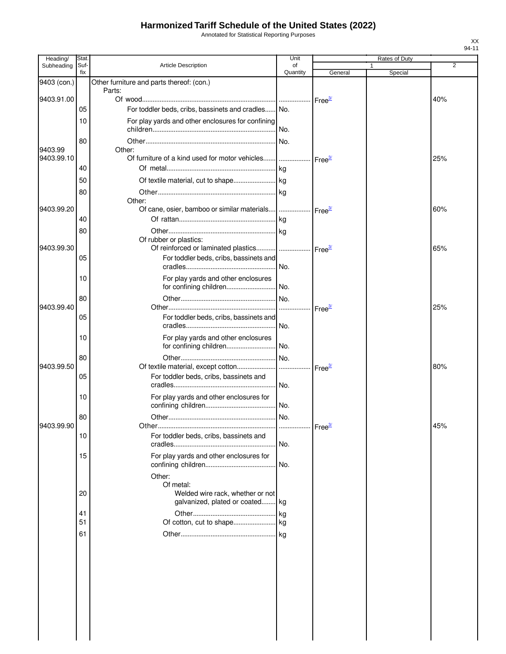Annotated for Statistical Reporting Purposes

| Heading/    | Stat.       |                                                                        | Unit           |         | Rates of Duty |     |
|-------------|-------------|------------------------------------------------------------------------|----------------|---------|---------------|-----|
| Subheading  | Suf-<br>fix | <b>Article Description</b>                                             | of<br>Quantity | General | 1<br>Special  | 2   |
| 9403 (con.) |             | Other furniture and parts thereof: (con.)                              |                |         |               |     |
|             |             | Parts:                                                                 |                |         |               |     |
| 9403.91.00  |             |                                                                        |                |         |               | 40% |
|             | 05          | For toddler beds, cribs, bassinets and cradles No.                     |                |         |               |     |
|             | 10          | For play yards and other enclosures for confining                      | No.            |         |               |     |
|             | 80          |                                                                        |                |         |               |     |
| 9403.99     |             | Other:                                                                 |                |         |               |     |
| 9403.99.10  |             | Of furniture of a kind used for motor vehicles      Free <sup>3/</sup> |                |         |               | 25% |
|             | 40          |                                                                        |                |         |               |     |
|             | 50          |                                                                        |                |         |               |     |
|             | 80          |                                                                        |                |         |               |     |
| 9403.99.20  |             | Other:                                                                 |                |         |               | 60% |
|             | 40          |                                                                        | kg             |         |               |     |
|             | 80          |                                                                        |                |         |               |     |
|             |             | Of rubber or plastics:                                                 |                |         |               |     |
| 9403.99.30  |             | Of reinforced or laminated plastics    Free3                           |                |         |               | 65% |
|             | 05          | For toddler beds, cribs, bassinets and                                 | No.            |         |               |     |
|             | 10          | For play yards and other enclosures                                    |                |         |               |     |
|             |             |                                                                        |                |         |               |     |
|             | 80          |                                                                        |                |         |               |     |
| 9403.99.40  |             |                                                                        |                |         |               | 25% |
|             | 05          | For toddler beds, cribs, bassinets and                                 |                |         |               |     |
|             |             |                                                                        | INo.           |         |               |     |
|             | 10          | For play yards and other enclosures                                    |                |         |               |     |
|             | 80          |                                                                        |                |         |               |     |
| 9403.99.50  |             |                                                                        |                |         |               | 80% |
|             | 05          | For toddler beds, cribs, bassinets and                                 |                |         |               |     |
|             |             |                                                                        |                |         |               |     |
|             | 10          | For play yards and other enclosures for                                |                |         |               |     |
|             | 80          |                                                                        |                |         |               |     |
| 9403.99.90  |             |                                                                        |                |         |               | 45% |
|             | 10          | For toddler beds, cribs, bassinets and                                 |                |         |               |     |
|             |             |                                                                        | No.            |         |               |     |
|             | 15          | For play yards and other enclosures for                                |                |         |               |     |
|             |             |                                                                        | No.            |         |               |     |
|             |             | Other:<br>Of metal:                                                    |                |         |               |     |
|             | 20          | Welded wire rack, whether or not                                       |                |         |               |     |
|             |             | galvanized, plated or coated kg                                        |                |         |               |     |
|             | 41          |                                                                        |                |         |               |     |
|             | 51          |                                                                        |                |         |               |     |
|             | 61          |                                                                        |                |         |               |     |
|             |             |                                                                        |                |         |               |     |
|             |             |                                                                        |                |         |               |     |
|             |             |                                                                        |                |         |               |     |
|             |             |                                                                        |                |         |               |     |
|             |             |                                                                        |                |         |               |     |
|             |             |                                                                        |                |         |               |     |
|             |             |                                                                        |                |         |               |     |
|             |             |                                                                        |                |         |               |     |
|             |             |                                                                        |                |         |               |     |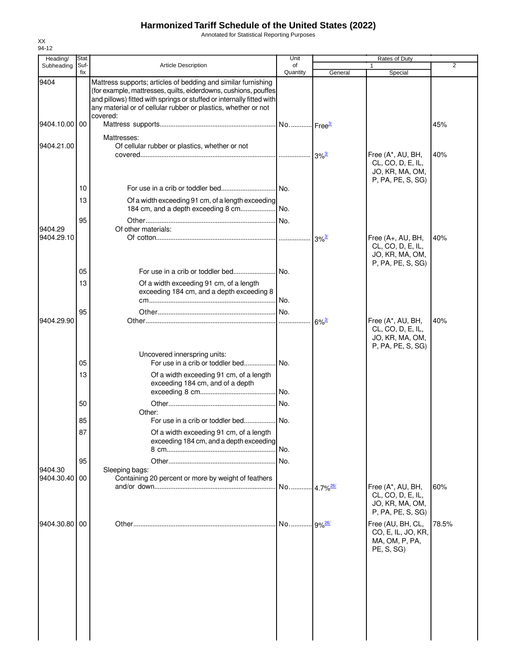Annotated for Statistical Reporting Purposes

| Heading/      | Stat.       |                                                                                                                                                                                                                                                                                         | Unit                   |                     | Rates of Duty                                                                  |       |
|---------------|-------------|-----------------------------------------------------------------------------------------------------------------------------------------------------------------------------------------------------------------------------------------------------------------------------------------|------------------------|---------------------|--------------------------------------------------------------------------------|-------|
| Subheading    | Suf-<br>fix | <b>Article Description</b>                                                                                                                                                                                                                                                              | of<br>Quantity         | General             | Special                                                                        | 2     |
| 9404          |             | Mattress supports; articles of bedding and similar furnishing<br>(for example, mattresses, quilts, eiderdowns, cushions, pouffes<br>and pillows) fitted with springs or stuffed or internally fitted with<br>any material or of cellular rubber or plastics, whether or not<br>covered: |                        |                     |                                                                                |       |
| 9404.10.00 00 |             |                                                                                                                                                                                                                                                                                         |                        |                     |                                                                                | 45%   |
| 9404.21.00    |             | Mattresses:<br>Of cellular rubber or plastics, whether or not                                                                                                                                                                                                                           |                        |                     | Free (A*, AU, BH,<br>CL, CO, D, E, IL,<br>JO, KR, MA, OM,                      | 40%   |
|               |             |                                                                                                                                                                                                                                                                                         |                        |                     | P, PA, PE, S, SG)                                                              |       |
|               | 10          |                                                                                                                                                                                                                                                                                         |                        |                     |                                                                                |       |
|               | 13          | Of a width exceeding 91 cm, of a length exceeding                                                                                                                                                                                                                                       |                        |                     |                                                                                |       |
| 9404.29       | 95          | Of other materials:                                                                                                                                                                                                                                                                     |                        |                     |                                                                                |       |
| 9404.29.10    |             |                                                                                                                                                                                                                                                                                         |                        | $3\%^{3/2}$         | Free (A+, AU, BH,<br>CL, CO, D, E, IL,<br>JO, KR, MA, OM,                      | 40%   |
|               | 05          |                                                                                                                                                                                                                                                                                         | No.                    |                     | P, PA, PE, S, SG)                                                              |       |
|               | 13          | Of a width exceeding 91 cm, of a length<br>exceeding 184 cm, and a depth exceeding 8                                                                                                                                                                                                    |                        |                     |                                                                                |       |
|               |             |                                                                                                                                                                                                                                                                                         | .I No.                 |                     |                                                                                |       |
| 9404.29.90    | 95          |                                                                                                                                                                                                                                                                                         |                        | $6\%$ <sup>3/</sup> | Free (A*, AU, BH,<br>CL, CO, D, E, IL,                                         | 40%   |
|               | 05          | Uncovered innerspring units:                                                                                                                                                                                                                                                            |                        |                     | JO, KR, MA, OM,<br>P, PA, PE, S, SG)                                           |       |
|               | 13          | Of a width exceeding 91 cm, of a length<br>exceeding 184 cm, and of a depth                                                                                                                                                                                                             |                        |                     |                                                                                |       |
|               | 50          |                                                                                                                                                                                                                                                                                         |                        |                     |                                                                                |       |
|               | 85          | Other:<br>For use in a crib or toddler bed                                                                                                                                                                                                                                              | .I No.                 |                     |                                                                                |       |
|               | 87          | Of a width exceeding 91 cm, of a length<br>exceeding 184 cm, and a depth exceeding                                                                                                                                                                                                      |                        |                     |                                                                                |       |
|               |             |                                                                                                                                                                                                                                                                                         | No.                    |                     |                                                                                |       |
| 9404.30       | 95          | Sleeping bags:                                                                                                                                                                                                                                                                          | No.                    |                     |                                                                                |       |
| 9404.30.40 00 |             | Containing 20 percent or more by weight of feathers                                                                                                                                                                                                                                     |                        |                     |                                                                                |       |
|               |             |                                                                                                                                                                                                                                                                                         | No 4.7% <sup>26/</sup> |                     | Free (A*, AU, BH,<br>CL, CO, D, E, IL,<br>JO, KR, MA, OM,<br>P, PA, PE, S, SG) | 60%   |
| 9404.30.80 00 |             |                                                                                                                                                                                                                                                                                         | No 9% <sup>26/</sup>   |                     | Free (AU, BH, CL,<br>CO, E, IL, JO, KR,<br>MA, OM, P, PA,<br>PE, S, SG)        | 78.5% |
|               |             |                                                                                                                                                                                                                                                                                         |                        |                     |                                                                                |       |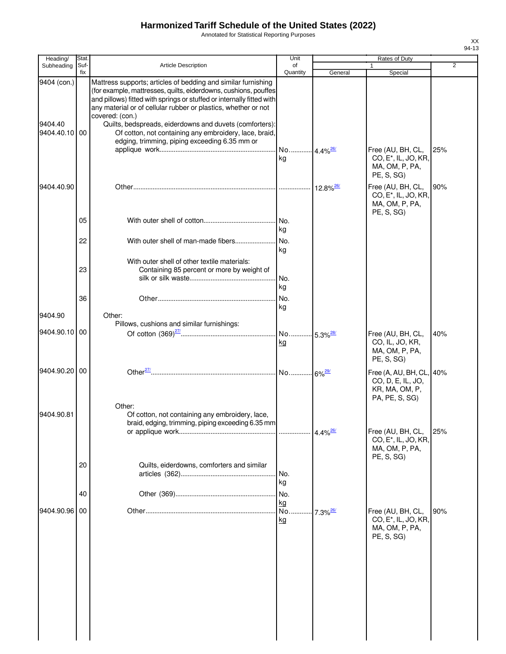Annotated for Statistical Reporting Purposes

| Heading/                                | Stat.       |                                                                                                                                                                                                                                                                                                                                                                                                                                                                      | Unit                          |                         | Rates of Duty                                                                         |                |
|-----------------------------------------|-------------|----------------------------------------------------------------------------------------------------------------------------------------------------------------------------------------------------------------------------------------------------------------------------------------------------------------------------------------------------------------------------------------------------------------------------------------------------------------------|-------------------------------|-------------------------|---------------------------------------------------------------------------------------|----------------|
| Subheading                              | Suf-<br>fix | <b>Article Description</b>                                                                                                                                                                                                                                                                                                                                                                                                                                           | of<br>Quantity                | General                 | Special                                                                               | $\overline{2}$ |
| 9404 (con.)<br>9404.40<br>9404.40.10 00 |             | Mattress supports; articles of bedding and similar furnishing<br>(for example, mattresses, quilts, eiderdowns, cushions, pouffes<br>and pillows) fitted with springs or stuffed or internally fitted with<br>any material or of cellular rubber or plastics, whether or not<br>covered: (con.)<br>Quilts, bedspreads, eiderdowns and duvets (comforters):<br>Of cotton, not containing any embroidery, lace, braid,<br>edging, trimming, piping exceeding 6.35 mm or | kg                            |                         | Free (AU, BH, CL,<br>CO, E <sup>*</sup> , IL, JO, KR,<br>MA, OM, P, PA,<br>PE, S, SG) | 25%            |
| 9404.40.90                              |             |                                                                                                                                                                                                                                                                                                                                                                                                                                                                      |                               | $.12.8\%$               | Free (AU, BH, CL,<br>CO, E <sup>*</sup> , IL, JO, KR,<br>MA, OM, P, PA,<br>PE, S, SG) | 90%            |
|                                         | 05          |                                                                                                                                                                                                                                                                                                                                                                                                                                                                      | No.<br>kg                     |                         |                                                                                       |                |
|                                         | 22          | With outer shell of man-made fibers                                                                                                                                                                                                                                                                                                                                                                                                                                  | No.<br>kg                     |                         |                                                                                       |                |
|                                         | 23          | With outer shell of other textile materials:<br>Containing 85 percent or more by weight of                                                                                                                                                                                                                                                                                                                                                                           | No.<br>kg                     |                         |                                                                                       |                |
|                                         | 36          |                                                                                                                                                                                                                                                                                                                                                                                                                                                                      | No.                           |                         |                                                                                       |                |
| 9404.90                                 |             | Other:<br>Pillows, cushions and similar furnishings:                                                                                                                                                                                                                                                                                                                                                                                                                 | kg                            |                         |                                                                                       |                |
| 9404.90.10 00                           |             |                                                                                                                                                                                                                                                                                                                                                                                                                                                                      | No  5.3% <sup>28/</sup><br>kg |                         | Free (AU, BH, CL,<br>CO, IL, JO, KR,<br>MA, OM, P, PA,<br>PE, S, SG)                  | 40%            |
| 9404.90.20 00                           |             |                                                                                                                                                                                                                                                                                                                                                                                                                                                                      |                               |                         | Free (A, AU, BH, CL,<br>CO, D, E, IL, JO,<br>KR, MA, OM, P,<br>PA, PE, S, SG)         | 40%            |
| 9404.90.81                              |             | Other:<br>Of cotton, not containing any embroidery, lace,<br>braid, edging, trimming, piping exceeding 6.35 mm                                                                                                                                                                                                                                                                                                                                                       |                               |                         | Free (AU, BH, CL,<br>CO, E <sup>*</sup> , IL, JO, KR,                                 | 25%            |
|                                         | 20          | Quilts, eiderdowns, comforters and similar                                                                                                                                                                                                                                                                                                                                                                                                                           | No.<br>kg                     |                         | MA, OM, P, PA,<br>PE, S, SG)                                                          |                |
|                                         | 40          |                                                                                                                                                                                                                                                                                                                                                                                                                                                                      | . No.<br>kg                   |                         |                                                                                       |                |
| 9404.90.96 00                           |             |                                                                                                                                                                                                                                                                                                                                                                                                                                                                      | No<br>kg                      | $-7.3\%$ <sup>26/</sup> | Free (AU, BH, CL,<br>CO, E <sup>*</sup> , IL, JO, KR,<br>MA, OM, P, PA,<br>PE, S, SG) | 90%            |
|                                         |             |                                                                                                                                                                                                                                                                                                                                                                                                                                                                      |                               |                         |                                                                                       |                |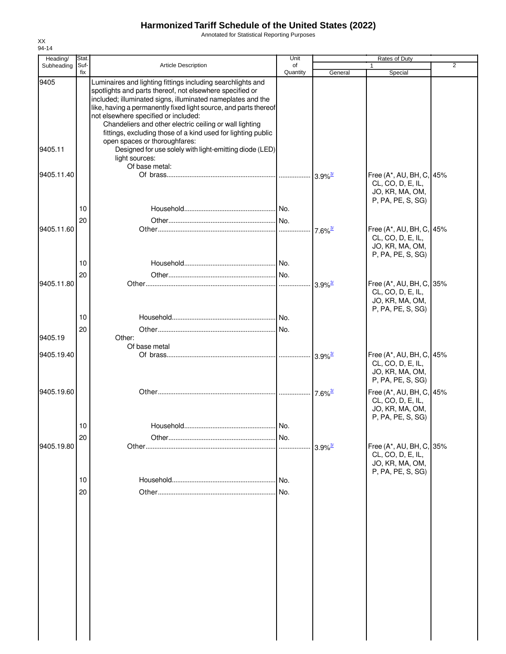Annotated for Statistical Reporting Purposes

| Heading/        | Stat.       |                                                                                                                                                                                                                                                                                                                                                                                                                                                                                                                           | Unit           |                       | Rates of Duty                                                                         |                |
|-----------------|-------------|---------------------------------------------------------------------------------------------------------------------------------------------------------------------------------------------------------------------------------------------------------------------------------------------------------------------------------------------------------------------------------------------------------------------------------------------------------------------------------------------------------------------------|----------------|-----------------------|---------------------------------------------------------------------------------------|----------------|
| Subheading      | Suf-<br>fix | <b>Article Description</b>                                                                                                                                                                                                                                                                                                                                                                                                                                                                                                | of<br>Quantity | General               | $\mathbf{1}$<br>Special                                                               | $\overline{2}$ |
| 9405<br>9405.11 |             | Luminaires and lighting fittings including searchlights and<br>spotlights and parts thereof, not elsewhere specified or<br>included; illuminated signs, illuminated nameplates and the<br>like, having a permanently fixed light source, and parts thereof<br>not elsewhere specified or included:<br>Chandeliers and other electric ceiling or wall lighting<br>fittings, excluding those of a kind used for lighting public<br>open spaces or thoroughfares:<br>Designed for use solely with light-emitting diode (LED) |                |                       |                                                                                       |                |
|                 |             | light sources:<br>Of base metal:                                                                                                                                                                                                                                                                                                                                                                                                                                                                                          |                |                       |                                                                                       |                |
| 9405.11.40      |             |                                                                                                                                                                                                                                                                                                                                                                                                                                                                                                                           |                | $3.9\%$ <sup>3/</sup> | Free (A*, AU, BH, C, 45%<br>CL, CO, D, E, IL,<br>JO, KR, MA, OM,<br>P, PA, PE, S, SG) |                |
|                 | 10          |                                                                                                                                                                                                                                                                                                                                                                                                                                                                                                                           |                |                       |                                                                                       |                |
|                 | 20          |                                                                                                                                                                                                                                                                                                                                                                                                                                                                                                                           |                |                       |                                                                                       |                |
| 9405.11.60      | 10          |                                                                                                                                                                                                                                                                                                                                                                                                                                                                                                                           |                | $7.6\%$ <sup>3/</sup> | Free (A*, AU, BH, C, 45%<br>CL, CO, D, E, IL,<br>JO, KR, MA, OM,<br>P, PA, PE, S, SG) |                |
|                 | 20          |                                                                                                                                                                                                                                                                                                                                                                                                                                                                                                                           |                |                       |                                                                                       |                |
| 9405.11.80      |             |                                                                                                                                                                                                                                                                                                                                                                                                                                                                                                                           |                | $3.9\%$ <sup>3/</sup> | Free (A*, AU, BH, C, 35%<br>CL, CO, D, E, IL,<br>JO, KR, MA, OM,<br>P, PA, PE, S, SG) |                |
|                 | 10          |                                                                                                                                                                                                                                                                                                                                                                                                                                                                                                                           |                |                       |                                                                                       |                |
|                 | 20          |                                                                                                                                                                                                                                                                                                                                                                                                                                                                                                                           |                |                       |                                                                                       |                |
| 9405.19         |             | Other:                                                                                                                                                                                                                                                                                                                                                                                                                                                                                                                    |                |                       |                                                                                       |                |
| 9405.19.40      |             | Of base metal                                                                                                                                                                                                                                                                                                                                                                                                                                                                                                             |                |                       | Free (A*, AU, BH, C, 45%<br>CL, CO, D, E, IL,<br>JO, KR, MA, OM,<br>P, PA, PE, S, SG) |                |
| 9405.19.60      |             |                                                                                                                                                                                                                                                                                                                                                                                                                                                                                                                           |                |                       | Free (A*, AU, BH, C, 45%<br>CL, CO, D, E, IL,<br>JO, KR, MA, OM,<br>P, PA, PE, S, SG) |                |
|                 | 10          |                                                                                                                                                                                                                                                                                                                                                                                                                                                                                                                           |                |                       |                                                                                       |                |
|                 | 20          |                                                                                                                                                                                                                                                                                                                                                                                                                                                                                                                           |                |                       |                                                                                       |                |
| 9405.19.80      |             |                                                                                                                                                                                                                                                                                                                                                                                                                                                                                                                           |                | $3.9\%$ <sup>3/</sup> | Free (A*, AU, BH, C, 35%<br>CL, CO, D, E, IL,<br>JO, KR, MA, OM,<br>P, PA, PE, S, SG) |                |
|                 | 10          |                                                                                                                                                                                                                                                                                                                                                                                                                                                                                                                           | INo.           |                       |                                                                                       |                |
|                 | 20          |                                                                                                                                                                                                                                                                                                                                                                                                                                                                                                                           | No.            |                       |                                                                                       |                |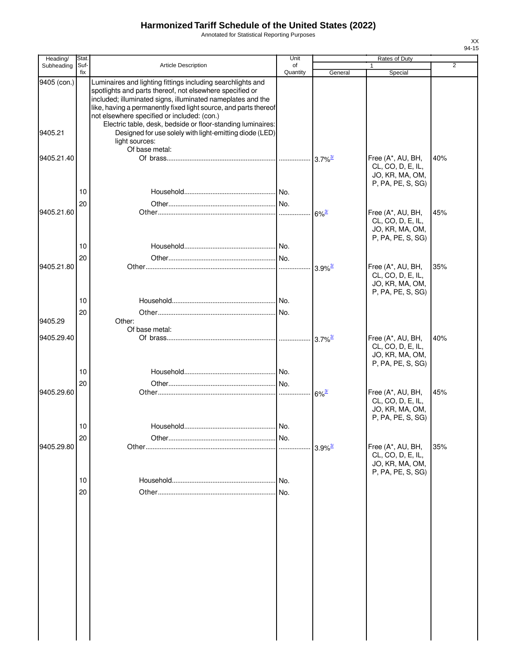Annotated for Statistical Reporting Purposes

| Heading/               | Stat.       |                                                                                                                                                                                                                                                                                                                                                                                                                                                       | Unit           |                       | Rates of Duty                                                                  |                |
|------------------------|-------------|-------------------------------------------------------------------------------------------------------------------------------------------------------------------------------------------------------------------------------------------------------------------------------------------------------------------------------------------------------------------------------------------------------------------------------------------------------|----------------|-----------------------|--------------------------------------------------------------------------------|----------------|
| Subheading             | Suf-<br>fix | <b>Article Description</b>                                                                                                                                                                                                                                                                                                                                                                                                                            | of<br>Quantity | General               | 1<br>Special                                                                   | $\overline{2}$ |
| 9405 (con.)<br>9405.21 |             | Luminaires and lighting fittings including searchlights and<br>spotlights and parts thereof, not elsewhere specified or<br>included; illuminated signs, illuminated nameplates and the<br>like, having a permanently fixed light source, and parts thereof<br>not elsewhere specified or included: (con.)<br>Electric table, desk, bedside or floor-standing luminaires:<br>Designed for use solely with light-emitting diode (LED)<br>light sources: |                |                       |                                                                                |                |
| 9405.21.40             |             | Of base metal:                                                                                                                                                                                                                                                                                                                                                                                                                                        |                | $3.7\%$ <sup>3/</sup> | Free (A*, AU, BH,<br>CL, CO, D, E, IL,<br>JO, KR, MA, OM,                      | 40%            |
|                        | 10<br>20    |                                                                                                                                                                                                                                                                                                                                                                                                                                                       |                |                       | P, PA, PE, S, SG)                                                              |                |
| 9405.21.60             |             |                                                                                                                                                                                                                                                                                                                                                                                                                                                       | .              | $6\%$ <sup>3/</sup>   | Free (A*, AU, BH,<br>CL, CO, D, E, IL,<br>JO, KR, MA, OM,<br>P, PA, PE, S, SG) | 45%            |
|                        | 10<br>20    |                                                                                                                                                                                                                                                                                                                                                                                                                                                       |                |                       |                                                                                |                |
| 9405.21.80             | 10          |                                                                                                                                                                                                                                                                                                                                                                                                                                                       | .              | $3.9\%$ <sup>3/</sup> | Free (A*, AU, BH,<br>CL, CO, D, E, IL,<br>JO, KR, MA, OM,<br>P, PA, PE, S, SG) | 35%            |
| 9405.29                | 20          | Other:                                                                                                                                                                                                                                                                                                                                                                                                                                                |                |                       |                                                                                |                |
| 9405.29.40             |             | Of base metal:                                                                                                                                                                                                                                                                                                                                                                                                                                        |                | $3.7\%$ <sup>3/</sup> | Free (A*, AU, BH,<br>CL, CO, D, E, IL,<br>JO, KR, MA, OM,<br>P, PA, PE, S, SG) | 40%            |
|                        | 10          |                                                                                                                                                                                                                                                                                                                                                                                                                                                       |                |                       |                                                                                |                |
| 9405.29.60             | 20          |                                                                                                                                                                                                                                                                                                                                                                                                                                                       |                | $6\%$ <sup>3/</sup>   | Free (A*, AU, BH,<br>CL, CO, D, E, IL,<br>JO, KR, MA, OM,<br>P, PA, PE, S, SG) | 45%            |
|                        | 10          |                                                                                                                                                                                                                                                                                                                                                                                                                                                       | I No.          |                       |                                                                                |                |
| 9405.29.80             | 20          |                                                                                                                                                                                                                                                                                                                                                                                                                                                       | No.<br>.       | $3.9\%$ <sup>3/</sup> | Free (A*, AU, BH,<br>CL, CO, D, E, IL,<br>JO, KR, MA, OM,<br>P, PA, PE, S, SG) | 35%            |
|                        | 10<br>20    |                                                                                                                                                                                                                                                                                                                                                                                                                                                       | No.<br>INo.    |                       |                                                                                |                |
|                        |             |                                                                                                                                                                                                                                                                                                                                                                                                                                                       |                |                       |                                                                                |                |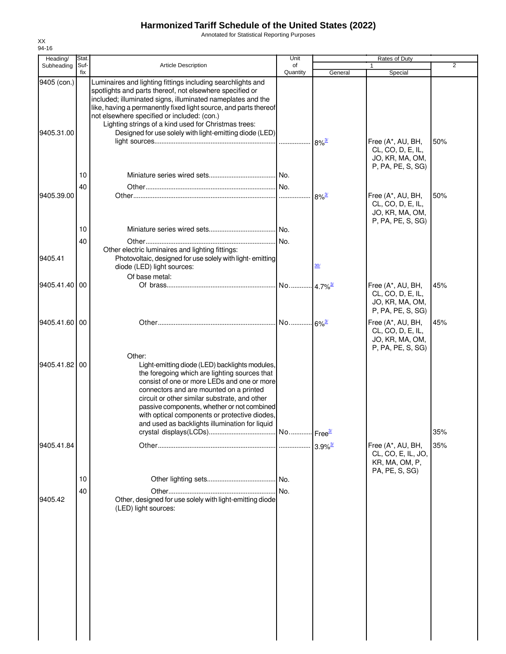Annotated for Statistical Reporting Purposes

| Heading/                  | Stat.       |                                                                                                                                                                                                                                                                                                                                                                                                                              | Unit           |                       | Rates of Duty                                                                  |                |
|---------------------------|-------------|------------------------------------------------------------------------------------------------------------------------------------------------------------------------------------------------------------------------------------------------------------------------------------------------------------------------------------------------------------------------------------------------------------------------------|----------------|-----------------------|--------------------------------------------------------------------------------|----------------|
| Subheading                | Suf-<br>fix | <b>Article Description</b>                                                                                                                                                                                                                                                                                                                                                                                                   | of<br>Quantity | General               | Special                                                                        | $\overline{2}$ |
| 9405 (con.)<br>9405.31.00 |             | Luminaires and lighting fittings including searchlights and<br>spotlights and parts thereof, not elsewhere specified or<br>included; illuminated signs, illuminated nameplates and the<br>like, having a permanently fixed light source, and parts thereof<br>not elsewhere specified or included: (con.)<br>Lighting strings of a kind used for Christmas trees:<br>Designed for use solely with light-emitting diode (LED) |                |                       |                                                                                |                |
|                           | 10          |                                                                                                                                                                                                                                                                                                                                                                                                                              |                | $8\%$ <sup>3/</sup>   | Free (A*, AU, BH,<br>CL, CO, D, E, IL,<br>JO, KR, MA, OM,<br>P, PA, PE, S, SG) | 50%            |
| 9405.39.00                | 40          |                                                                                                                                                                                                                                                                                                                                                                                                                              |                | $8\%^{3/2}$           | Free (A*, AU, BH,<br>CL, CO, D, E, IL,<br>JO, KR, MA, OM,<br>P, PA, PE, S, SG) | 50%            |
|                           | 10          |                                                                                                                                                                                                                                                                                                                                                                                                                              |                |                       |                                                                                |                |
|                           | 40          |                                                                                                                                                                                                                                                                                                                                                                                                                              |                |                       |                                                                                |                |
| 9405.41                   |             | Other electric luminaires and lighting fittings:<br>Photovoltaic, designed for use solely with light-emitting<br>diode (LED) light sources:<br>Of base metal:                                                                                                                                                                                                                                                                |                | 30/                   |                                                                                |                |
| 9405.41.40                | 00          |                                                                                                                                                                                                                                                                                                                                                                                                                              |                |                       | Free (A*, AU, BH,                                                              | 45%            |
|                           |             |                                                                                                                                                                                                                                                                                                                                                                                                                              |                |                       | CL, CO, D, E, IL,<br>JO, KR, MA, OM,<br>P, PA, PE, S, SG)                      |                |
| 9405.41.60                | 00          |                                                                                                                                                                                                                                                                                                                                                                                                                              |                |                       | Free (A*, AU, BH,<br>CL, CO, D, E, IL,<br>JO, KR, MA, OM,<br>P, PA, PE, S, SG) | 45%            |
| 9405.41.82 00             |             | Other:<br>Light-emitting diode (LED) backlights modules,<br>the foregoing which are lighting sources that<br>consist of one or more LEDs and one or more<br>connectors and are mounted on a printed<br>circuit or other similar substrate, and other<br>passive components, whether or not combined<br>with optical components or protective diodes,<br>and used as backlights illumination for liquid                       |                |                       |                                                                                | 35%            |
|                           |             |                                                                                                                                                                                                                                                                                                                                                                                                                              |                |                       |                                                                                |                |
| 9405.41.84                |             |                                                                                                                                                                                                                                                                                                                                                                                                                              |                | $3.9\%$ <sup>3/</sup> | Free (A*, AU, BH,<br>CL, CO, E, IL, JO,<br>KR, MA, OM, P,<br>PA, PE, S, SG)    | 35%            |
|                           | 10          |                                                                                                                                                                                                                                                                                                                                                                                                                              |                |                       |                                                                                |                |
| 9405.42                   | 40          | Other, designed for use solely with light-emitting diode<br>(LED) light sources:                                                                                                                                                                                                                                                                                                                                             | No.            |                       |                                                                                |                |
|                           |             |                                                                                                                                                                                                                                                                                                                                                                                                                              |                |                       |                                                                                |                |
|                           |             |                                                                                                                                                                                                                                                                                                                                                                                                                              |                |                       |                                                                                |                |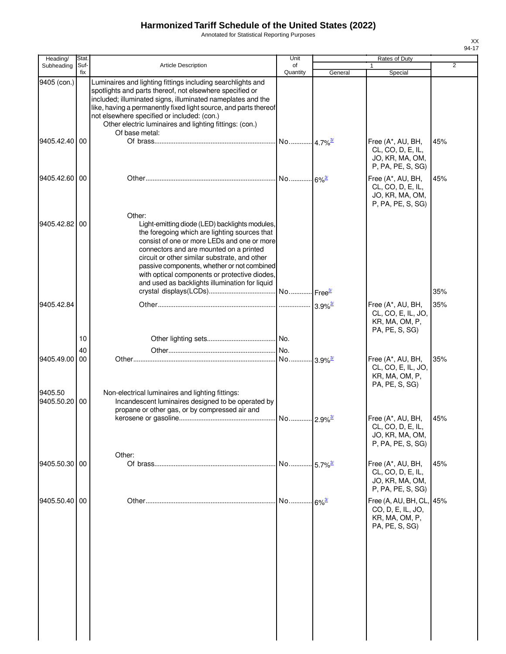Annotated for Statistical Reporting Purposes

|                                     | <b>Stat</b> |                                                                                                                                                                                                                                                                                                                                                                                                        | Unit                  |                            | Rates of Duty                                                                     |                |
|-------------------------------------|-------------|--------------------------------------------------------------------------------------------------------------------------------------------------------------------------------------------------------------------------------------------------------------------------------------------------------------------------------------------------------------------------------------------------------|-----------------------|----------------------------|-----------------------------------------------------------------------------------|----------------|
| Heading/<br>Subheading              | Suf-        | <b>Article Description</b>                                                                                                                                                                                                                                                                                                                                                                             | of                    |                            |                                                                                   | $\overline{2}$ |
|                                     | fix         |                                                                                                                                                                                                                                                                                                                                                                                                        | Quantity              | General                    | Special                                                                           |                |
| 9405 (con.)                         |             | Luminaires and lighting fittings including searchlights and<br>spotlights and parts thereof, not elsewhere specified or<br>included; illuminated signs, illuminated nameplates and the<br>like, having a permanently fixed light source, and parts thereof<br>not elsewhere specified or included: (con.)<br>Other electric luminaires and lighting fittings: (con.)<br>Of base metal:                 |                       |                            |                                                                                   |                |
| 9405.42.40 00                       |             |                                                                                                                                                                                                                                                                                                                                                                                                        | No 4.7% <sup>3/</sup> |                            | Free (A*, AU, BH,<br>CL, CO, D, E, IL,<br>JO, KR, MA, OM,<br>P, PA, PE, S, SG)    | 45%            |
| 9405.42.60 00                       |             |                                                                                                                                                                                                                                                                                                                                                                                                        |                       |                            | Free (A*, AU, BH,<br>CL, CO, D, E, IL,<br>JO, KR, MA, OM,<br>P, PA, PE, S, SG)    | 45%            |
| 9405.42.82 00                       |             | Other:<br>Light-emitting diode (LED) backlights modules,<br>the foregoing which are lighting sources that<br>consist of one or more LEDs and one or more<br>connectors and are mounted on a printed<br>circuit or other similar substrate, and other<br>passive components, whether or not combined<br>with optical components or protective diodes,<br>and used as backlights illumination for liquid |                       |                            |                                                                                   |                |
|                                     |             |                                                                                                                                                                                                                                                                                                                                                                                                        |                       |                            |                                                                                   | 35%            |
| 9405.42.84                          | 10          |                                                                                                                                                                                                                                                                                                                                                                                                        |                       | $3.9\%$ <sup>3/</sup>      | Free (A*, AU, BH,<br>CL, CO, E, IL, JO,<br>KR, MA, OM, P,<br>PA, PE, S, SG)       | 35%            |
|                                     |             |                                                                                                                                                                                                                                                                                                                                                                                                        |                       |                            |                                                                                   |                |
|                                     | 40          |                                                                                                                                                                                                                                                                                                                                                                                                        |                       |                            |                                                                                   |                |
| 9405.49.00<br>9405.50<br>9405.50.20 | 00<br>00    | Non-electrical luminaires and lighting fittings:<br>Incandescent luminaires designed to be operated by                                                                                                                                                                                                                                                                                                 | No                    | $\cdot$ 3.9% $\frac{3}{2}$ | Free (A*, AU, BH,<br>CL, CO, E, IL, JO,<br>KR, MA, OM, P,<br>PA, PE, S, SG)       | 35%            |
|                                     |             | propane or other gas, or by compressed air and                                                                                                                                                                                                                                                                                                                                                         | No 2.9% <sup>3/</sup> |                            | Free (A*, AU, BH,<br>CL, CO, D, E, IL,<br>JO, KR, MA, OM,<br>P, PA, PE, S, SG)    | 45%            |
| 9405.50.30 00                       |             | Other:                                                                                                                                                                                                                                                                                                                                                                                                 | No                    | $-5.7\%$ <sup>3/</sup>     | Free (A*, AU, BH,<br>CL, CO, D, E, IL,<br>JO, KR, MA, OM,<br>P, PA, PE, S, SG)    | 45%            |
| 9405.50.40 00                       |             |                                                                                                                                                                                                                                                                                                                                                                                                        | No                    | $6\%$ <sup>3/</sup>        | Free (A, AU, BH, CL, 45%<br>CO, D, E, IL, JO,<br>KR, MA, OM, P,<br>PA, PE, S, SG) |                |
|                                     |             |                                                                                                                                                                                                                                                                                                                                                                                                        |                       |                            |                                                                                   |                |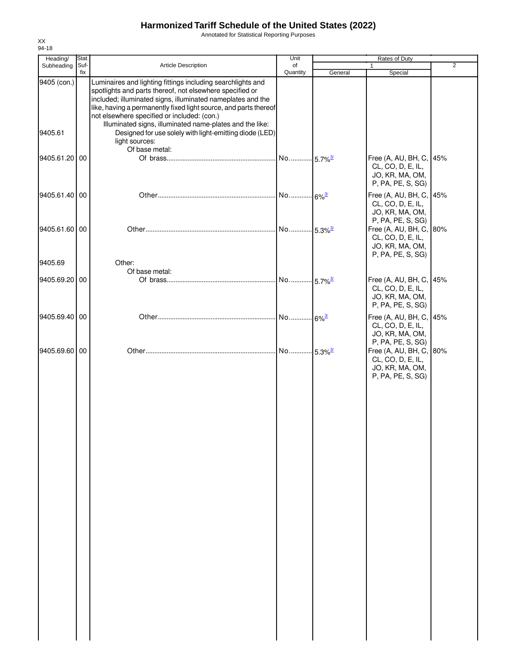Annotated for Statistical Reporting Purposes

| Heading/               | Stat.       |                                                                                                                                                                                                                                                                                                                                                                                                                                                                      | Unit                  |                        | Rates of Duty                                                                                             |                |
|------------------------|-------------|----------------------------------------------------------------------------------------------------------------------------------------------------------------------------------------------------------------------------------------------------------------------------------------------------------------------------------------------------------------------------------------------------------------------------------------------------------------------|-----------------------|------------------------|-----------------------------------------------------------------------------------------------------------|----------------|
| Subheading             | Suf-<br>fix | <b>Article Description</b>                                                                                                                                                                                                                                                                                                                                                                                                                                           | of<br>Quantity        | General                | 1<br>Special                                                                                              | $\overline{2}$ |
| 9405 (con.)<br>9405.61 |             | Luminaires and lighting fittings including searchlights and<br>spotlights and parts thereof, not elsewhere specified or<br>included; illuminated signs, illuminated nameplates and the<br>like, having a permanently fixed light source, and parts thereof<br>not elsewhere specified or included: (con.)<br>Illuminated signs, illuminated name-plates and the like:<br>Designed for use solely with light-emitting diode (LED)<br>light sources:<br>Of base metal: |                       |                        |                                                                                                           |                |
| 9405.61.20 00          |             |                                                                                                                                                                                                                                                                                                                                                                                                                                                                      | No 5.7% <sup>3/</sup> |                        | Free (A, AU, BH, C, 45%<br>CL, CO, D, E, IL,<br>JO, KR, MA, OM,<br>P, PA, PE, S, SG)                      |                |
| 9405.61.40 00          |             |                                                                                                                                                                                                                                                                                                                                                                                                                                                                      | No 6% <sup>3/</sup>   |                        | Free (A, AU, BH, C, 45%<br>CL, CO, D, E, IL,<br>JO, KR, MA, OM,                                           |                |
| 9405.61.60 00          |             |                                                                                                                                                                                                                                                                                                                                                                                                                                                                      | No                    | $-5.3\%$ <sup>3/</sup> | P, PA, PE, S, SG)<br>Free (A, AU, BH, C, 80%<br>CL, CO, D, E, IL,<br>JO, KR, MA, OM,<br>P, PA, PE, S, SG) |                |
| 9405.69                |             | Other:                                                                                                                                                                                                                                                                                                                                                                                                                                                               |                       |                        |                                                                                                           |                |
| 9405.69.20 00          |             | Of base metal:                                                                                                                                                                                                                                                                                                                                                                                                                                                       | No 5.7% <sup>3/</sup> |                        | Free (A, AU, BH, C, 45%<br>CL, CO, D, E, IL,<br>JO, KR, MA, OM,<br>P, PA, PE, S, SG)                      |                |
| 9405.69.40 00          |             |                                                                                                                                                                                                                                                                                                                                                                                                                                                                      | No 6% <sup>3/</sup>   |                        | Free (A, AU, BH, C, 45%<br>CL, CO, D, E, IL,<br>JO, KR, MA, OM,<br>P, PA, PE, S, SG)                      |                |
| 9405.69.60 00          |             |                                                                                                                                                                                                                                                                                                                                                                                                                                                                      | No 5.3% <sup>3/</sup> |                        | Free (A, AU, BH, C, 80%<br>CL, CO, D, E, IL,<br>JO, KR, MA, OM,<br>P, PA, PE, S, SG)                      |                |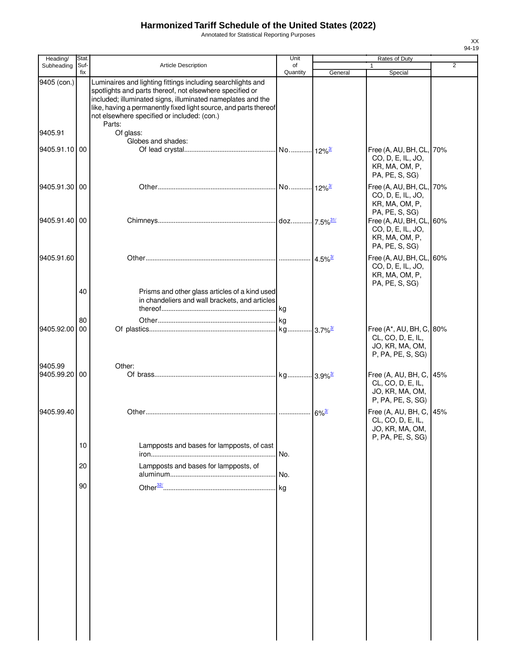Annotated for Statistical Reporting Purposes

| Heading/                 | Stat.       |                                                                                                                                                                                                                                                                                                                     | Unit           |                       | Rates of Duty                                                                         |                |
|--------------------------|-------------|---------------------------------------------------------------------------------------------------------------------------------------------------------------------------------------------------------------------------------------------------------------------------------------------------------------------|----------------|-----------------------|---------------------------------------------------------------------------------------|----------------|
| Subheading               | Suf-<br>fix | <b>Article Description</b>                                                                                                                                                                                                                                                                                          | of<br>Quantity | General               | $\mathbf{1}$<br>Special                                                               | $\overline{2}$ |
| 9405 (con.)              |             | Luminaires and lighting fittings including searchlights and<br>spotlights and parts thereof, not elsewhere specified or<br>included; illuminated signs, illuminated nameplates and the<br>like, having a permanently fixed light source, and parts thereof<br>not elsewhere specified or included: (con.)<br>Parts: |                |                       |                                                                                       |                |
| 9405.91                  |             | Of glass:                                                                                                                                                                                                                                                                                                           |                |                       |                                                                                       |                |
| 9405.91.10 00            |             | Globes and shades:                                                                                                                                                                                                                                                                                                  |                |                       | Free (A, AU, BH, CL,<br>CO, D, E, IL, JO,<br>KR, MA, OM, P,<br>PA, PE, S, SG)         | 70%            |
| 9405.91.30 00            |             |                                                                                                                                                                                                                                                                                                                     |                |                       | Free (A, AU, BH, CL,<br>CO, D, E, IL, JO,<br>KR, MA, OM, P,<br>PA, PE, S, SG)         | 70%            |
| 9405.91.40 00            |             |                                                                                                                                                                                                                                                                                                                     |                |                       | Free (A, AU, BH, CL, 60%<br>CO, D, E, IL, JO,<br>KR, MA, OM, P,<br>PA, PE, S, SG)     |                |
| 9405.91.60               |             |                                                                                                                                                                                                                                                                                                                     |                | $4.5\%$ <sup>3/</sup> | Free (A, AU, BH, CL, 60%<br>CO, D, E, IL, JO,<br>KR, MA, OM, P,<br>PA, PE, S, SG)     |                |
|                          | 40          | Prisms and other glass articles of a kind used<br>in chandeliers and wall brackets, and articles                                                                                                                                                                                                                    |                |                       |                                                                                       |                |
| 9405.92.00               | 80<br>00    |                                                                                                                                                                                                                                                                                                                     |                |                       | Free (A*, AU, BH, C, 80%<br>CL, CO, D, E, IL,<br>JO, KR, MA, OM,<br>P, PA, PE, S, SG) |                |
| 9405.99<br>9405.99.20 00 |             | Other:                                                                                                                                                                                                                                                                                                              |                |                       | Free (A, AU, BH, C, 45%<br>CL, CO, D, E, IL,<br>JO, KR, MA, OM,<br>P, PA, PE, S, SG)  |                |
| 9405.99.40               |             |                                                                                                                                                                                                                                                                                                                     |                | $6\%$ <sup>3/</sup>   | Free (A, AU, BH, C, 45%<br>CL, CO, D, E, IL,<br>JO, KR, MA, OM,<br>P, PA, PE, S, SG)  |                |
|                          | 10          | Lampposts and bases for lampposts, of cast                                                                                                                                                                                                                                                                          |                |                       |                                                                                       |                |
|                          | 20          | Lampposts and bases for lampposts, of                                                                                                                                                                                                                                                                               |                |                       |                                                                                       |                |
|                          | 90          |                                                                                                                                                                                                                                                                                                                     |                |                       |                                                                                       |                |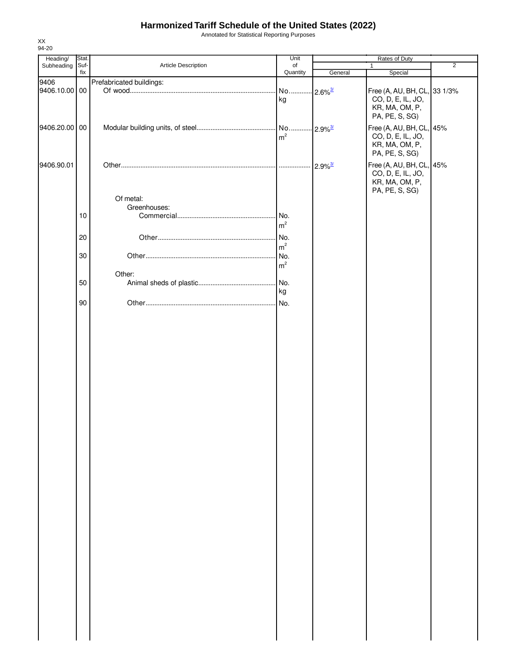Annotated for Statistical Reporting Purposes

| Stat.<br>Heading/<br>Subheading |             | Article Description      | Unit<br>of                  |                        | Rates of Duty<br>$\mathbf{1}$                                                         | $\overline{2}$ |  |
|---------------------------------|-------------|--------------------------|-----------------------------|------------------------|---------------------------------------------------------------------------------------|----------------|--|
|                                 | Suf-<br>fix |                          | Quantity                    | General                | Special                                                                               |                |  |
| 9406                            |             | Prefabricated buildings: |                             |                        |                                                                                       |                |  |
| 9406.10.00 00                   |             |                          | No 2.6% <sup>3/</sup><br>kg |                        | Free (A, AU, BH, CL, 33 1/3%<br>CO, D, E, IL, JO,<br>KR, MA, OM, P,<br>PA, PE, S, SG) |                |  |
| 9406.20.00 00                   |             |                          | m <sup>2</sup>              | $-2.9\%$ <sup>3/</sup> | Free (A, AU, BH, CL, 45%<br>CO, D, E, IL, JO,<br>KR, MA, OM, P,<br>PA, PE, S, SG)     |                |  |
| 9406.90.01                      |             | Of metal:                |                             | $2.9\%$ <sup>3/</sup>  | Free (A, AU, BH, CL, 45%<br>CO, D, E, IL, JO,<br>KR, MA, OM, P,<br>PA, PE, S, SG)     |                |  |
|                                 |             | Greenhouses:             |                             |                        |                                                                                       |                |  |
|                                 | 10          |                          | No.                         |                        |                                                                                       |                |  |
|                                 |             |                          | m <sup>2</sup>              |                        |                                                                                       |                |  |
|                                 |             |                          |                             |                        |                                                                                       |                |  |
|                                 | 20          |                          |                             |                        |                                                                                       |                |  |
|                                 |             |                          | m <sup>2</sup>              |                        |                                                                                       |                |  |
|                                 | 30          |                          | No.                         |                        |                                                                                       |                |  |
|                                 |             |                          | m <sup>2</sup>              |                        |                                                                                       |                |  |
|                                 | 50          | Other:                   | No.                         |                        |                                                                                       |                |  |
|                                 |             |                          | kg                          |                        |                                                                                       |                |  |
|                                 |             |                          |                             |                        |                                                                                       |                |  |
|                                 | 90          |                          |                             |                        |                                                                                       |                |  |
|                                 |             |                          |                             |                        |                                                                                       |                |  |
|                                 |             |                          |                             |                        |                                                                                       |                |  |
|                                 |             |                          |                             |                        |                                                                                       |                |  |
|                                 |             |                          |                             |                        |                                                                                       |                |  |
|                                 |             |                          |                             |                        |                                                                                       |                |  |
|                                 |             |                          |                             |                        |                                                                                       |                |  |
|                                 |             |                          |                             |                        |                                                                                       |                |  |
|                                 |             |                          |                             |                        |                                                                                       |                |  |
|                                 |             |                          |                             |                        |                                                                                       |                |  |
|                                 |             |                          |                             |                        |                                                                                       |                |  |
|                                 |             |                          |                             |                        |                                                                                       |                |  |
|                                 |             |                          |                             |                        |                                                                                       |                |  |
|                                 |             |                          |                             |                        |                                                                                       |                |  |
|                                 |             |                          |                             |                        |                                                                                       |                |  |
|                                 |             |                          |                             |                        |                                                                                       |                |  |
|                                 |             |                          |                             |                        |                                                                                       |                |  |
|                                 |             |                          |                             |                        |                                                                                       |                |  |
|                                 |             |                          |                             |                        |                                                                                       |                |  |
|                                 |             |                          |                             |                        |                                                                                       |                |  |
|                                 |             |                          |                             |                        |                                                                                       |                |  |
|                                 |             |                          |                             |                        |                                                                                       |                |  |
|                                 |             |                          |                             |                        |                                                                                       |                |  |
|                                 |             |                          |                             |                        |                                                                                       |                |  |
|                                 |             |                          |                             |                        |                                                                                       |                |  |
|                                 |             |                          |                             |                        |                                                                                       |                |  |
|                                 |             |                          |                             |                        |                                                                                       |                |  |
|                                 |             |                          |                             |                        |                                                                                       |                |  |
|                                 |             |                          |                             |                        |                                                                                       |                |  |
|                                 |             |                          |                             |                        |                                                                                       |                |  |
|                                 |             |                          |                             |                        |                                                                                       |                |  |
|                                 |             |                          |                             |                        |                                                                                       |                |  |
|                                 |             |                          |                             |                        |                                                                                       |                |  |
|                                 |             |                          |                             |                        |                                                                                       |                |  |
|                                 |             |                          |                             |                        |                                                                                       |                |  |
|                                 |             |                          |                             |                        |                                                                                       |                |  |
|                                 |             |                          |                             |                        |                                                                                       |                |  |